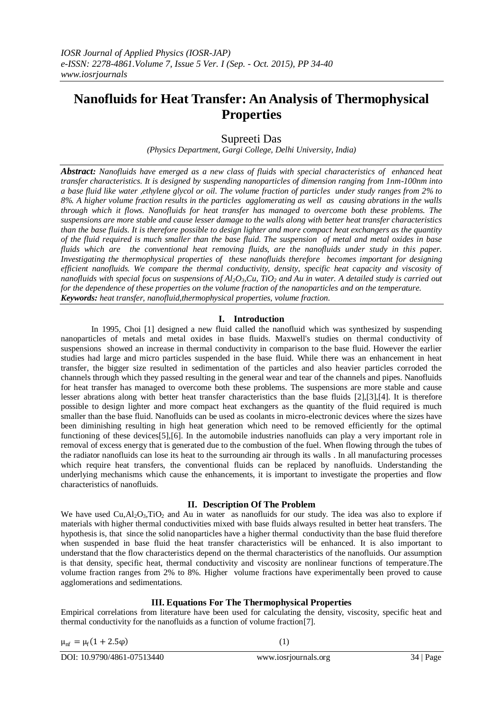# **Nanofluids for Heat Transfer: An Analysis of Thermophysical Properties**

Supreeti Das

*(Physics Department, Gargi College, Delhi University, India)*

*Abstract: Nanofluids have emerged as a new class of fluids with special characteristics of enhanced heat transfer characteristics. It is designed by suspending nanoparticles of dimension ranging from 1nm-100nm into a base fluid like water ,ethylene glycol or oil. The volume fraction of particles under study ranges from 2% to 8%. A higher volume fraction results in the particles agglomerating as well as causing abrations in the walls through which it flows. Nanofluids for heat transfer has managed to overcome both these problems. The suspensions are more stable and cause lesser damage to the walls along with better heat transfer characteristics than the base fluids. It is therefore possible to design lighter and more compact heat exchangers as the quantity of the fluid required is much smaller than the base fluid. The suspension of metal and metal oxides in base fluids which are the conventional heat removing fluids, are the nanofluids under study in this paper. Investigating the thermophysical properties of these nanofluids therefore becomes important for designing efficient nanofluids. We compare the thermal conductivity, density, specific heat capacity and viscosity of nanofluids with special focus on suspensions of Al2O3,Cu, TiO<sup>2</sup> and Au in water. A detailed study is carried out for the dependence of these properties on the volume fraction of the nanoparticles and on the temperature. Keywords: heat transfer, nanofluid,thermophysical properties, volume fraction.*

## **I. Introduction**

In 1995, Choi [1] designed a new fluid called the nanofluid which was synthesized by suspending nanoparticles of metals and metal oxides in base fluids. Maxwell's studies on thermal conductivity of suspensions showed an increase in thermal conductivity in comparison to the base fluid. However the earlier studies had large and micro particles suspended in the base fluid. While there was an enhancement in heat transfer, the bigger size resulted in sedimentation of the particles and also heavier particles corroded the channels through which they passed resulting in the general wear and tear of the channels and pipes. Nanofluids for heat transfer has managed to overcome both these problems. The suspensions are more stable and cause lesser abrations along with better heat transfer characteristics than the base fluids [2],[3],[4]. It is therefore possible to design lighter and more compact heat exchangers as the quantity of the fluid required is much smaller than the base fluid. Nanofluids can be used as coolants in micro-electronic devices where the sizes have been diminishing resulting in high heat generation which need to be removed efficiently for the optimal functioning of these devices[5],[6]. In the automobile industries nanofluids can play a very important role in removal of excess energy that is generated due to the combustion of the fuel. When flowing through the tubes of the radiator nanofluids can lose its heat to the surrounding air through its walls . In all manufacturing processes which require heat transfers, the conventional fluids can be replaced by nanofluids. Understanding the underlying mechanisms which cause the enhancements, it is important to investigate the properties and flow characteristics of nanofluids.

### **II. Description Of The Problem**

We have used  $Cu, Al<sub>2</sub>O<sub>3</sub>, TiO<sub>2</sub>$  and Au in water as nanofluids for our study. The idea was also to explore if materials with higher thermal conductivities mixed with base fluids always resulted in better heat transfers. The hypothesis is, that since the solid nanoparticles have a higher thermal conductivity than the base fluid therefore when suspended in base fluid the heat transfer characteristics will be enhanced. It is also important to understand that the flow characteristics depend on the thermal characteristics of the nanofluids. Our assumption is that density, specific heat, thermal conductivity and viscosity are nonlinear functions of temperature.The volume fraction ranges from 2% to 8%. Higher volume fractions have experimentally been proved to cause agglomerations and sedimentations.

## **III. Equations For The Thermophysical Properties**

Empirical correlations from literature have been used for calculating the density, viscosity, specific heat and thermal conductivity for the nanofluids as a function of volume fraction[7].

 $\mu_{\text{nf}} = \mu_{\text{f}}(1 + 2.5\varphi)$  (1)

DOI: 10.9790/4861-07513440 www.iosrjournals.org 34 | Page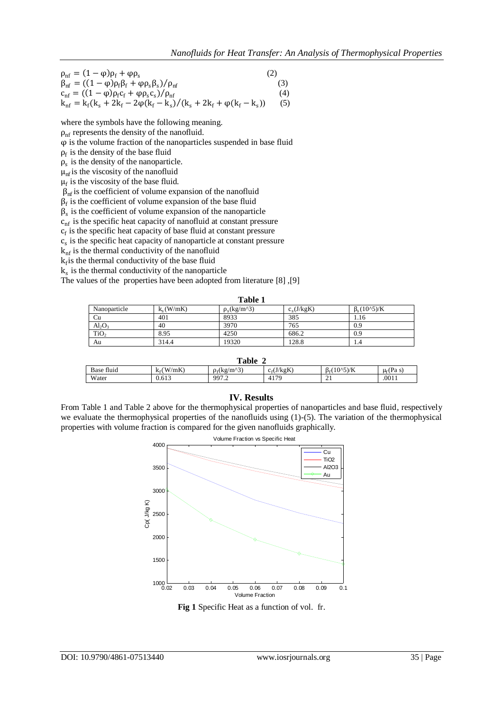$$
\rho_{nf} = (1 - \phi)\rho_f + \phi \rho_s
$$
\n(2)  
\n
$$
\beta_{nf} = ((1 - \phi)\rho_f \beta_f + \phi \rho_s \beta_s) / \rho_{nf}
$$
\n(3)  
\n
$$
c_{nf} = ((1 - \phi)\rho_f c_f + \phi \rho_s c_s) / \rho_{nf}
$$
\n(4)  
\n
$$
k_{nf} = k_f(k_s + 2k_f - 2\phi(k_f - k_s) / (k_s + 2k_f + \phi(k_f - k_s))
$$
\n(5)

where the symbols have the following meaning.

 $\rho_{\rm nf}$  represents the density of the nanofluid.

 $\varphi$  is the volume fraction of the nanoparticles suspended in base fluid

 $\rho_f$  is the density of the base fluid

 $\rho_s$  is the density of the nanoparticle.

 $\mu_{\rm nf}$  is the viscosity of the nanofluid

 $\mu_f$  is the viscosity of the base fluid.

 $\beta_{\rm nf}$  is the coefficient of volume expansion of the nanofluid

 $\beta_f$  is the coefficient of volume expansion of the base fluid

 $\beta_s$  is the coefficient of volume expansion of the nanoparticle

 $c<sub>nf</sub>$  is the specific heat capacity of nanofluid at constant pressure

 $c_f$  is the specific heat capacity of base fluid at constant pressure

 $c<sub>s</sub>$  is the specific heat capacity of nanoparticle at constant pressure

 $k<sub>nf</sub>$  is the thermal conductivity of the nanofluid

 $k_f$  is the thermal conductivity of the base fluid

 $k<sub>s</sub>$  is the thermal conductivity of the nanoparticle

The values of the properties have been adopted from literature [8] ,[9]

**Table 1**

| Nanoparticle     | $k_s(W/mK)$ | $\rho_s(kg/m^3)$ | $c_s(J/kgK)$ | $\beta_{s}(10^{6}5)/K$ |
|------------------|-------------|------------------|--------------|------------------------|
| Cu               | 401         | 8933             | 385          | 1.16                   |
| $Al_2O_3$        | 40          | 3970             | 765          | 0.9                    |
| TiO <sub>2</sub> | 8.95        | 4250             | 686.2        | 0.9                    |
| Au               | 314.4       | 19320            | 128.8        | 1.4                    |

| Table      |             |                  |              |                           |                |  |  |  |
|------------|-------------|------------------|--------------|---------------------------|----------------|--|--|--|
| Base fluid | $k_f(W/mK)$ | $\rho_f(kg/m^3)$ | $c_f(J/kgK)$ | $B_{\epsilon}(10^{6}5)/K$ | $\mu_f$ (Pa s) |  |  |  |
| Water      | 0.613       | 997.2            | 4179         | $\sim$<br>∸               | .0011          |  |  |  |

#### **IV. Results**

From Table 1 and Table 2 above for the thermophysical properties of nanoparticles and base fluid, respectively we evaluate the thermophysical properties of the nanofluids using  $(1)-(5)$ . The variation of the thermophysical properties with volume fraction is compared for the given nanofluids graphically.



**Fig 1** Specific Heat as a function of vol. fr.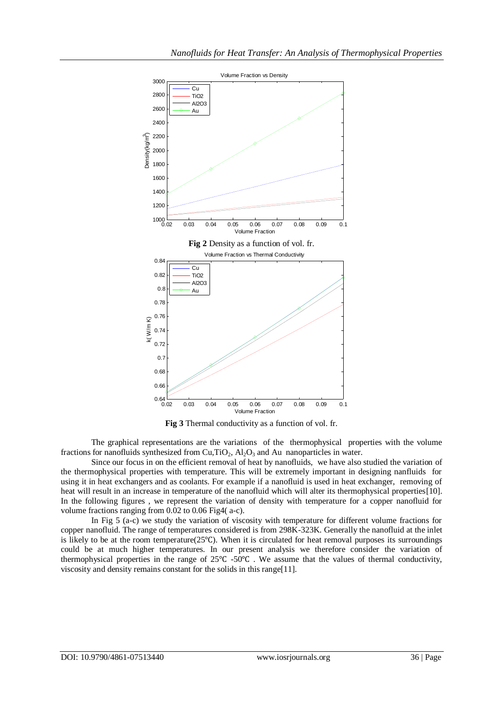

**Fig 3** Thermal conductivity as a function of vol. fr.

The graphical representations are the variations of the thermophysical properties with the volume fractions for nanofluids synthesized from  $Cu,TiO<sub>2</sub>$ ,  $Al<sub>2</sub>O<sub>3</sub>$  and Au nanoparticles in water.

Since our focus in on the efficient removal of heat by nanofluids, we have also studied the variation of the thermophysical properties with temperature. This will be extremely important in designing nanfluids for using it in heat exchangers and as coolants. For example if a nanofluid is used in heat exchanger, removing of heat will result in an increase in temperature of the nanofluid which will alter its thermophysical properties[10]. In the following figures , we represent the variation of density with temperature for a copper nanofluid for volume fractions ranging from 0.02 to 0.06 Fig4( a-c).

In Fig 5 (a-c) we study the variation of viscosity with temperature for different volume fractions for copper nanofluid. The range of temperatures considered is from 298K-323K. Generally the nanofluid at the inlet is likely to be at the room temperature(25℃). When it is circulated for heat removal purposes its surroundings could be at much higher temperatures. In our present analysis we therefore consider the variation of thermophysical properties in the range of 25℃ -50℃ . We assume that the values of thermal conductivity, viscosity and density remains constant for the solids in this range[11].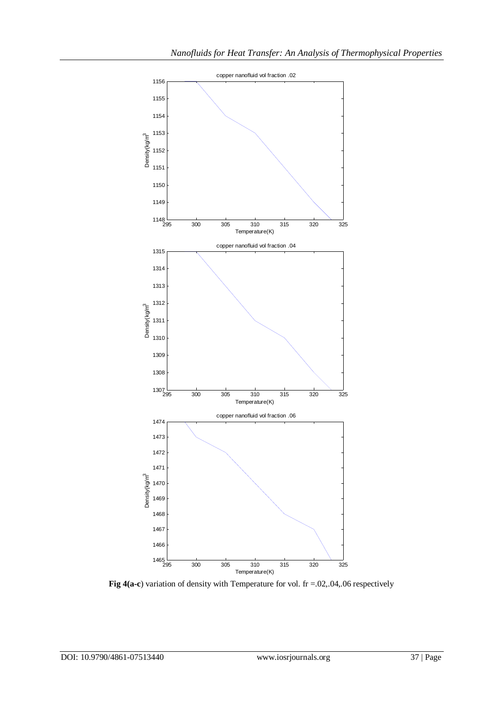

**Fig 4(a-c**) variation of density with Temperature for vol. fr =.02,.04,.06 respectively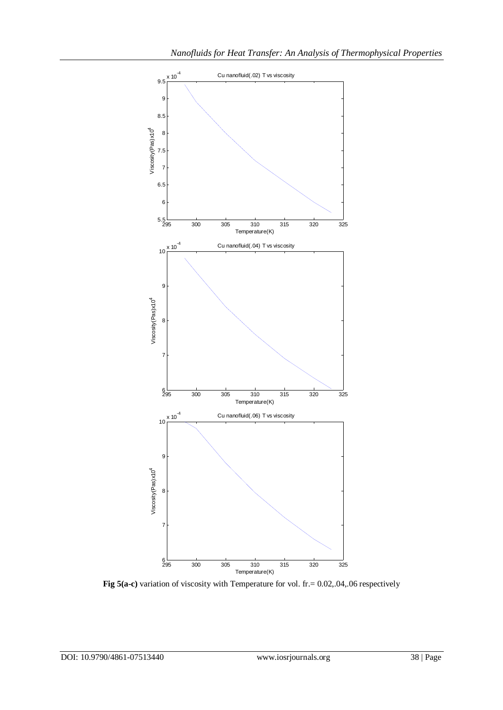

Fig 5(a-c) variation of viscosity with Temperature for vol. fr. = 0.02,.04,.06 respectively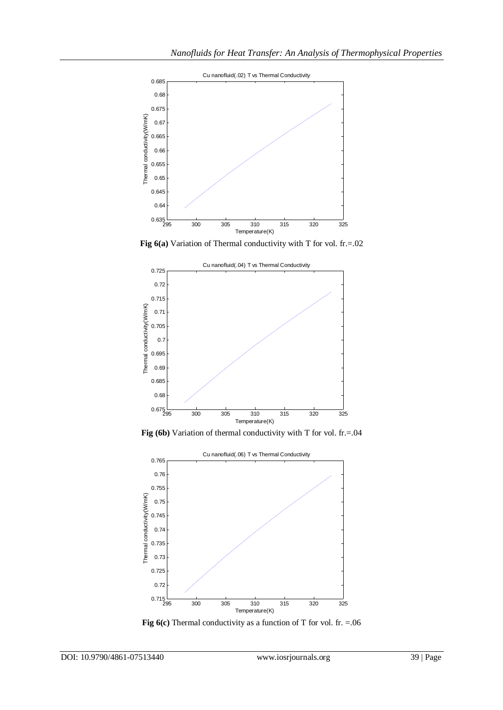

**Fig 6(a)** Variation of Thermal conductivity with T for vol. fr.=.02



Fig (6b) Variation of thermal conductivity with T for vol. fr.=.04



**Fig 6(c)** Thermal conductivity as a function of T for vol. fr. =.06